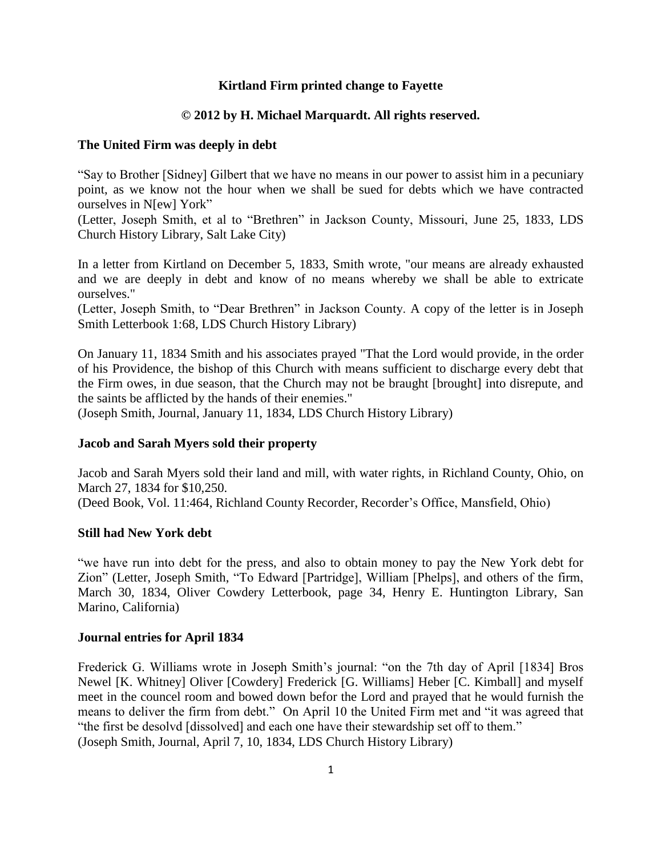# **Kirtland Firm printed change to Fayette**

# **© 2012 by H. Michael Marquardt. All rights reserved.**

## **The United Firm was deeply in debt**

"Say to Brother [Sidney] Gilbert that we have no means in our power to assist him in a pecuniary point, as we know not the hour when we shall be sued for debts which we have contracted ourselves in N[ew] York"

(Letter, Joseph Smith, et al to "Brethren" in Jackson County, Missouri, June 25, 1833, LDS Church History Library, Salt Lake City)

In a letter from Kirtland on December 5, 1833, Smith wrote, "our means are already exhausted and we are deeply in debt and know of no means whereby we shall be able to extricate ourselves."

(Letter, Joseph Smith, to "Dear Brethren" in Jackson County. A copy of the letter is in Joseph Smith Letterbook 1:68, LDS Church History Library)

On January 11, 1834 Smith and his associates prayed "That the Lord would provide, in the order of his Providence, the bishop of this Church with means sufficient to discharge every debt that the Firm owes, in due season, that the Church may not be braught [brought] into disrepute, and the saints be afflicted by the hands of their enemies."

(Joseph Smith, Journal, January 11, 1834, LDS Church History Library)

## **Jacob and Sarah Myers sold their property**

Jacob and Sarah Myers sold their land and mill, with water rights, in Richland County, Ohio, on March 27, 1834 for \$10,250. (Deed Book, Vol. 11:464, Richland County Recorder, Recorder's Office, Mansfield, Ohio)

## **Still had New York debt**

"we have run into debt for the press, and also to obtain money to pay the New York debt for Zion" (Letter, Joseph Smith, "To Edward [Partridge], William [Phelps], and others of the firm, March 30, 1834, Oliver Cowdery Letterbook, page 34, Henry E. Huntington Library, San Marino, California)

### **Journal entries for April 1834**

Frederick G. Williams wrote in Joseph Smith's journal: "on the 7th day of April [1834] Bros Newel [K. Whitney] Oliver [Cowdery] Frederick [G. Williams] Heber [C. Kimball] and myself meet in the councel room and bowed down befor the Lord and prayed that he would furnish the means to deliver the firm from debt." On April 10 the United Firm met and "it was agreed that "the first be desolvd [dissolved] and each one have their stewardship set off to them." (Joseph Smith, Journal, April 7, 10, 1834, LDS Church History Library)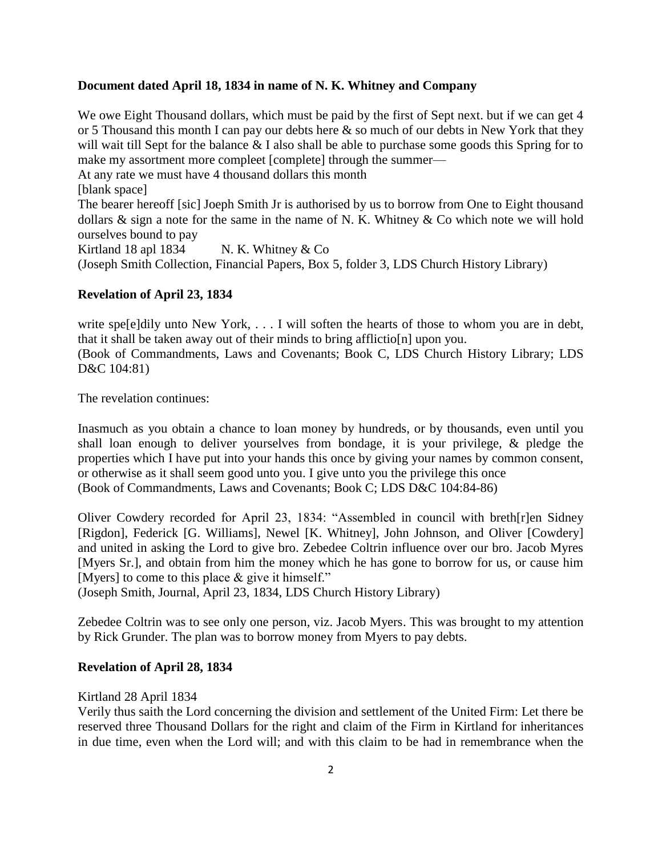### **Document dated April 18, 1834 in name of N. K. Whitney and Company**

We owe Eight Thousand dollars, which must be paid by the first of Sept next. but if we can get 4 or 5 Thousand this month I can pay our debts here  $\&$  so much of our debts in New York that they will wait till Sept for the balance  $& I$  also shall be able to purchase some goods this Spring for to make my assortment more compleet [complete] through the summer—

At any rate we must have 4 thousand dollars this month

[blank space]

The bearer hereoff [sic] Joeph Smith Jr is authorised by us to borrow from One to Eight thousand dollars  $\&$  sign a note for the same in the name of N. K. Whitney  $\&$  Co which note we will hold ourselves bound to pay

Kirtland 18 apl 1834 N. K. Whitney  $& Co$ 

(Joseph Smith Collection, Financial Papers, Box 5, folder 3, LDS Church History Library)

### **Revelation of April 23, 1834**

write spe[e]dily unto New York,  $\dots$  I will soften the hearts of those to whom you are in debt, that it shall be taken away out of their minds to bring afflictio[n] upon you.

(Book of Commandments, Laws and Covenants; Book C, LDS Church History Library; LDS D&C 104:81)

The revelation continues:

Inasmuch as you obtain a chance to loan money by hundreds, or by thousands, even until you shall loan enough to deliver yourselves from bondage, it is your privilege, & pledge the properties which I have put into your hands this once by giving your names by common consent, or otherwise as it shall seem good unto you. I give unto you the privilege this once (Book of Commandments, Laws and Covenants; Book C; LDS D&C 104:84-86)

Oliver Cowdery recorded for April 23, 1834: "Assembled in council with breth[r]en Sidney [Rigdon], Federick [G. Williams], Newel [K. Whitney], John Johnson, and Oliver [Cowdery] and united in asking the Lord to give bro. Zebedee Coltrin influence over our bro. Jacob Myres [Myers Sr.], and obtain from him the money which he has gone to borrow for us, or cause him [Myers] to come to this place & give it himself."

(Joseph Smith, Journal, April 23, 1834, LDS Church History Library)

Zebedee Coltrin was to see only one person, viz. Jacob Myers. This was brought to my attention by Rick Grunder. The plan was to borrow money from Myers to pay debts.

### **Revelation of April 28, 1834**

Kirtland 28 April 1834

Verily thus saith the Lord concerning the division and settlement of the United Firm: Let there be reserved three Thousand Dollars for the right and claim of the Firm in Kirtland for inheritances in due time, even when the Lord will; and with this claim to be had in remembrance when the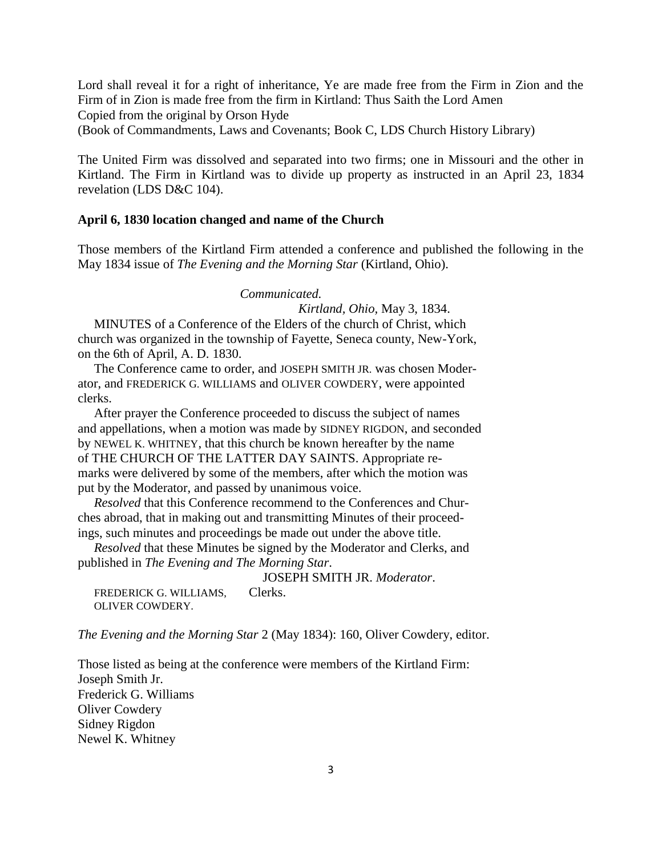Lord shall reveal it for a right of inheritance, Ye are made free from the Firm in Zion and the Firm of in Zion is made free from the firm in Kirtland: Thus Saith the Lord Amen Copied from the original by Orson Hyde

(Book of Commandments, Laws and Covenants; Book C, LDS Church History Library)

The United Firm was dissolved and separated into two firms; one in Missouri and the other in Kirtland. The Firm in Kirtland was to divide up property as instructed in an April 23, 1834 revelation (LDS D&C 104).

## **April 6, 1830 location changed and name of the Church**

Those members of the Kirtland Firm attended a conference and published the following in the May 1834 issue of *The Evening and the Morning Star* (Kirtland, Ohio).

*Communicated.* 

*Kirtland, Ohio,* May 3, 1834.

 MINUTES of a Conference of the Elders of the church of Christ, which church was organized in the township of Fayette, Seneca county, New-York, on the 6th of April, A. D. 1830.

 The Conference came to order, and JOSEPH SMITH JR. was chosen Moderator, and FREDERICK G. WILLIAMS and OLIVER COWDERY, were appointed clerks.

 After prayer the Conference proceeded to discuss the subject of names and appellations, when a motion was made by SIDNEY RIGDON, and seconded by NEWEL K. WHITNEY, that this church be known hereafter by the name of THE CHURCH OF THE LATTER DAY SAINTS. Appropriate remarks were delivered by some of the members, after which the motion was put by the Moderator, and passed by unanimous voice.

 *Resolved* that this Conference recommend to the Conferences and Churches abroad, that in making out and transmitting Minutes of their proceedings, such minutes and proceedings be made out under the above title.

 *Resolved* that these Minutes be signed by the Moderator and Clerks, and published in *The Evening and The Morning Star*.

 JOSEPH SMITH JR. *Moderator*. FREDERICK G. WILLIAMS. Clerks. OLIVER COWDERY.

*The Evening and the Morning Star* 2 (May 1834): 160, Oliver Cowdery, editor.

Those listed as being at the conference were members of the Kirtland Firm: Joseph Smith Jr. Frederick G. Williams Oliver Cowdery Sidney Rigdon Newel K. Whitney